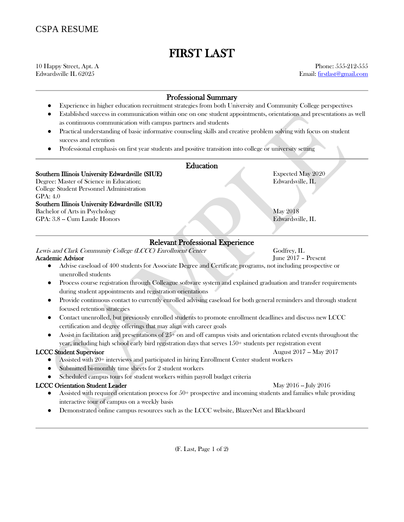# FIRST LAST

10 Happy Street, Apt. A Phone: 555-212-555 Edwardsville IL 62025 Email: [firstlast@gmail.com](mailto:firstlast@gmail.com)

## Professional Summary

- Experience in higher education recruitment strategies from both University and Community College perspectives
- Established success in communication within one on one student appointments, orientations and presentations as well as continuous communication with campus partners and students
- Practical understanding of basic informative counseling skills and creative problem solving with focus on student success and retention
- Professional emphasis on first year students and positive transition into college or university setting

### Education

Southern Illinois University Edwardsville (SIUE) Expected May 2020

Degree: Master of Science in Education; Edwardsville, IL College Student Personnel Administration GPA: 4.0 Southern Illinois University Edwardsville (SIUE) Bachelor of Arts in Psychology May 2018

GPA: 3.8 -- Cum Laude Honors Edwardsville, IL

## Relevant Professional Experience

Lewis and Clark Community College (LCCC) Enrollment Center Godfrey, IL

#### Academic Advisor June 2017 – Present

- Advise caseload of 400 students for Associate Degree and Certificate programs, not including prospective or unenrolled students
- Process course registration through Colleague software system and explained graduation and transfer requirements during student appointments and registration orientations
- Provide continuous contact to currently enrolled advising caseload for both general reminders and through student focused retention strategies
- Contact unenrolled, but previously enrolled students to promote enrollment deadlines and discuss new LCCC certification and degree offerings that may align with career goals
- $\bullet$  Assist in facilitation and presentations of 25+ on and off campus visits and orientation related events throughout the year, including high school early bird registration days that serves 150+ students per registration event

#### **LCCC Student Supervisor** August 2017 -- May 2017

- Assisted with 20+ interviews and participated in hiring Enrollment Center student workers
- Submitted bi-monthly time sheets for 2 student workers
- Scheduled campus tours for student workers within payroll budget criteria

#### LCCC Orientation Student Leader May 2016 -- July 2016

- Assisted with required orientation process for  $50+$  prospective and incoming students and families while providing interactive tour of campus on a weekly basis
- Demonstrated online campus resources such as the LCCC website, BlazerNet and Blackboard